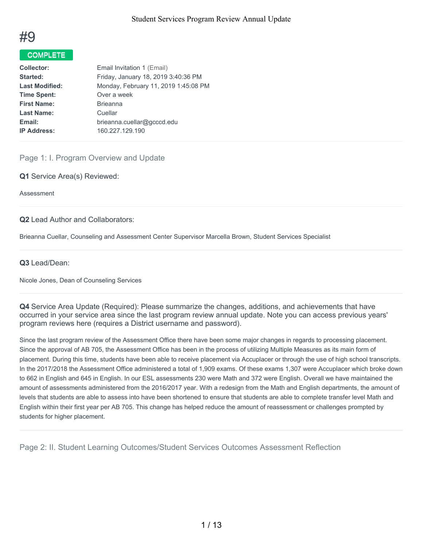

# COMPLETE

| <b>Collector:</b>     | Email Invitation 1 (Email)           |
|-----------------------|--------------------------------------|
| Started:              | Friday, January 18, 2019 3:40:36 PM  |
| <b>Last Modified:</b> | Monday, February 11, 2019 1:45:08 PM |
| <b>Time Spent:</b>    | Over a week                          |
| <b>First Name:</b>    | <b>Brieanna</b>                      |
| <b>Last Name:</b>     | Cuellar                              |
| Email:                | brieanna.cuellar@gcccd.edu           |
| <b>IP Address:</b>    | 160.227.129.190                      |
|                       |                                      |

# Page 1: I. Program Overview and Update

**Q1** Service Area(s) Reviewed:

Assessment

#### **Q2** Lead Author and Collaborators:

Brieanna Cuellar, Counseling and Assessment Center Supervisor Marcella Brown, Student Services Specialist

#### **Q3** Lead/Dean:

Nicole Jones, Dean of Counseling Services

**Q4** Service Area Update (Required): Please summarize the changes, additions, and achievements that have occurred in your service area since the last program review annual update. Note you can access previous years' program reviews here (requires a District username and password).

Since the last program review of the Assessment Office there have been some major changes in regards to processing placement. Since the approval of AB 705, the Assessment Office has been in the process of utilizing Multiple Measures as its main form of placement. During this time, students have been able to receive placement via Accuplacer or through the use of high school transcripts. In the 2017/2018 the Assessment Office administered a total of 1,909 exams. Of these exams 1,307 were Accuplacer which broke down to 662 in English and 645 in English. In our ESL assessments 230 were Math and 372 were English. Overall we have maintained the amount of assessments administered from the 2016/2017 year. With a redesign from the Math and English departments, the amount of levels that students are able to assess into have been shortened to ensure that students are able to complete transfer level Math and English within their first year per AB 705. This change has helped reduce the amount of reassessment or challenges prompted by students for higher placement.

Page 2: II. Student Learning Outcomes/Student Services Outcomes Assessment Reflection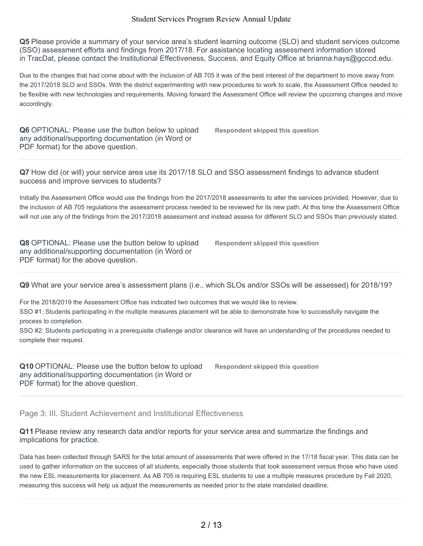**Q5** Please provide a summary of your service area's student learning outcome (SLO) and student services outcome (SSO) assessment efforts and findings from 2017/18. For assistance locating assessment information stored in TracDat, please contact the Institutional Effectiveness, Success, and Equity Office at brianna.hays@gcccd.edu.

Due to the changes that had come about with the inclusion of AB 705 it was of the best interest of the department to move away from the 2017/2018 SLO and SSOs. With the district experimenting with new procedures to work to scale, the Assessment Office needed to be flexible with new technologies and requirements. Moving forward the Assessment Office will review the upcoming changes and move accordingly.

**Q6** OPTIONAL: Please use the button below to upload any additional/supporting documentation (in Word or PDF format) for the above question.

**Respondent skipped this question**

**Q7** How did (or will) your service area use its 2017/18 SLO and SSO assessment findings to advance student success and improve services to students?

Initially the Assessment Office would use the findings from the 2017/2018 assessments to alter the services provided. However, due to the inclusion of AB 705 regulations the assessment process needed to be reviewed for its new path. At this time the Assessment Office will not use any of the findings from the 2017/2018 assessment and instead assess for different SLO and SSOs than previously stated.

**Q8** OPTIONAL: Please use the button below to upload any additional/supporting documentation (in Word or PDF format) for the above question.

**Respondent skipped this question**

**Q9** What are your service area's assessment plans (i.e., which SLOs and/or SSOs will be assessed) for 2018/19?

For the 2018/2019 the Assessment Office has indicated two outcomes that we would like to review. SSO #1: Students participating in the multiple measures placement will be able to demonstrate how to successfully navigate the process to completion.

SSO #2: Students participating in a prerequisite challenge and/or clearance will have an understanding of the procedures needed to complete their request.

**Q10** OPTIONAL: Please use the button below to upload any additional/supporting documentation (in Word or PDF format) for the above question.

**Respondent skipped this question**

Page 3: III. Student Achievement and Institutional Effectiveness

**Q11** Please review any research data and/or reports for your service area and summarize the findings and implications for practice.

Data has been collected through SARS for the total amount of assessments that were offered in the 17/18 fiscal year. This data can be used to gather information on the success of all students, especially those students that took assessment versus those who have used the new ESL measurements for placement. As AB 705 is requiring ESL students to use a multiple measures procedure by Fall 2020, measuring this success will help us adjust the measurements as needed prior to the state mandated deadline.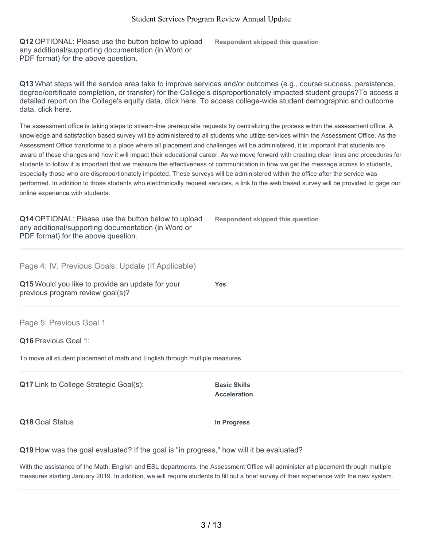**Q12** OPTIONAL: Please use the button below to upload any additional/supporting documentation (in Word or PDF format) for the above question.

**Respondent skipped this question**

**Q13** What steps will the service area take to improve services and/or outcomes (e.g., course success, persistence, degree/certificate completion, or transfer) for the College's disproportionately impacted student groups?To access a detailed report on the College's equity data, click here. To access college-wide student demographic and outcome data, click here.

The assessment office is taking steps to stream-line prerequisite requests by centralizing the process within the assessment office. A knowledge and satisfaction based survey will be administered to all students who utilize services within the Assessment Office. As the Assessment Office transforms to a place where all placement and challenges will be administered, it is important that students are aware of these changes and how it will impact their educational career. As we move forward with creating clear lines and procedures for students to follow it is important that we measure the effectiveness of communication in how we get the message across to students, especially those who are disproportionately impacted. These surveys will be administered within the office after the service was performed. In addition to those students who electronically request services, a link to the web based survey will be provided to gage our online experience with students.

**Q14** OPTIONAL: Please use the button below to upload any additional/supporting documentation (in Word or PDF format) for the above question.

**Respondent skipped this question**

Page 4: IV. Previous Goals: Update (If Applicable)

**Q15** Would you like to provide an update for your previous program review goal(s)?

Page 5: Previous Goal 1

**Q16** Previous Goal 1:

To move all student placement of math and English through multiple measures.

| Q17 Link to College Strategic Goal(s): | <b>Basic Skills</b><br><b>Acceleration</b> |
|----------------------------------------|--------------------------------------------|
| Q18 Goal Status                        | In Progress                                |

**Yes**

**Q19** How was the goal evaluated? If the goal is "in progress," how will it be evaluated?

With the assistance of the Math, English and ESL departments, the Assessment Office will administer all placement through multiple measures starting January 2019. In addition, we will require students to fill out a brief survey of their experience with the new system.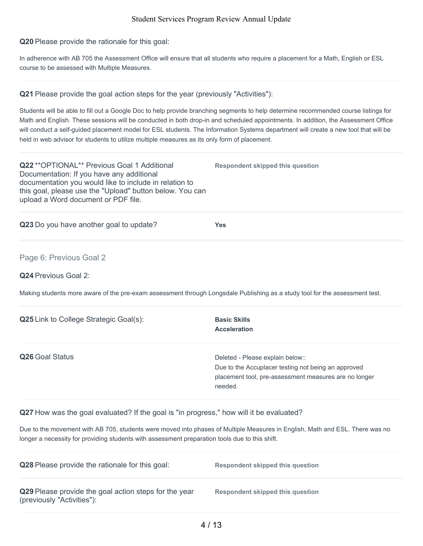**Q20** Please provide the rationale for this goal:

In adherence with AB 705 the Assessment Office will ensure that all students who require a placement for a Math, English or ESL course to be assessed with Multiple Measures.

#### **Q21** Please provide the goal action steps for the year (previously "Activities"):

Students will be able to fill out a Google Doc to help provide branching segments to help determine recommended course listings for Math and English. These sessions will be conducted in both drop-in and scheduled appointments. In addition, the Assessment Office will conduct a self-guided placement model for ESL students. The Information Systems department will create a new tool that will be held in web advisor for students to utilize multiple measures as its only form of placement.

**Q22** \*\*OPTIONAL\*\* Previous Goal 1 Additional Documentation: If you have any additional documentation you would like to include in relation to this goal, please use the "Upload" button below. You can upload a Word document or PDF file. **Respondent skipped this question**

**Q23** Do you have another goal to update? **Yes**

#### Page 6: Previous Goal 2

**Q24** Previous Goal 2:

Making students more aware of the pre-exam assessment through Longsdale Publishing as a study tool for the assessment test.

| <b>Q25</b> Link to College Strategic Goal(s): | <b>Basic Skills</b><br><b>Acceleration</b>                                                                                                                  |
|-----------------------------------------------|-------------------------------------------------------------------------------------------------------------------------------------------------------------|
| Q26 Goal Status                               | Deleted - Please explain below::<br>Due to the Accuplacer testing not being an approved<br>placement tool, pre-assessment measures are no longer<br>needed. |

**Q27** How was the goal evaluated? If the goal is "in progress," how will it be evaluated?

Due to the movement with AB 705, students were moved into phases of Multiple Measures in English, Math and ESL. There was no longer a necessity for providing students with assessment preparation tools due to this shift.

| <b>Q28</b> Please provide the rationale for this goal:                              | Respondent skipped this question |
|-------------------------------------------------------------------------------------|----------------------------------|
| Q29 Please provide the goal action steps for the year<br>(previously "Activities"): | Respondent skipped this question |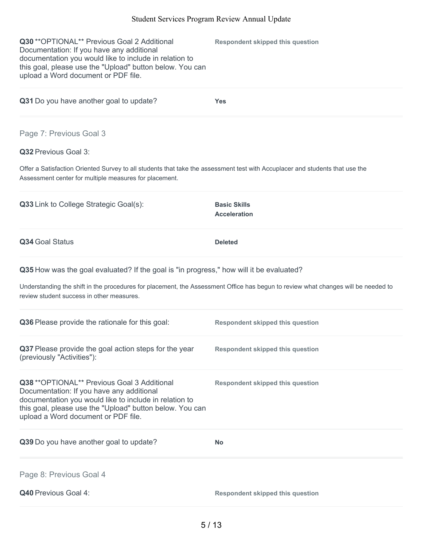| Q30 ** OPTIONAL** Previous Goal 2 Additional<br>Documentation: If you have any additional<br>documentation you would like to include in relation to<br>this goal, please use the "Upload" button below. You can<br>upload a Word document or PDF file. | <b>Respondent skipped this question</b>    |
|--------------------------------------------------------------------------------------------------------------------------------------------------------------------------------------------------------------------------------------------------------|--------------------------------------------|
| Q31 Do you have another goal to update?                                                                                                                                                                                                                | <b>Yes</b>                                 |
| Page 7: Previous Goal 3                                                                                                                                                                                                                                |                                            |
| <b>Q32</b> Previous Goal 3:                                                                                                                                                                                                                            |                                            |
| Offer a Satisfaction Oriented Survey to all students that take the assessment test with Accuplacer and students that use the<br>Assessment center for multiple measures for placement.                                                                 |                                            |
| <b>Q33</b> Link to College Strategic Goal(s):                                                                                                                                                                                                          | <b>Basic Skills</b><br><b>Acceleration</b> |
| Q34 Goal Status                                                                                                                                                                                                                                        | <b>Deleted</b>                             |
| Q35 How was the goal evaluated? If the goal is "in progress," how will it be evaluated?                                                                                                                                                                |                                            |
| Understanding the shift in the procedures for placement, the Assessment Office has begun to review what changes will be needed to<br>review student success in other measures.                                                                         |                                            |
| Q36 Please provide the rationale for this goal:                                                                                                                                                                                                        | <b>Respondent skipped this question</b>    |
| Q37 Please provide the goal action steps for the year<br>(previously "Activities"):                                                                                                                                                                    | <b>Respondent skipped this question</b>    |
| Q38 ** OPTIONAL** Previous Goal 3 Additional<br>Documentation: If you have any additional<br>documentation you would like to include in relation to<br>this goal, please use the "Upload" button below. You can<br>upload a Word document or PDF file. | <b>Respondent skipped this question</b>    |
| Q39 Do you have another goal to update?                                                                                                                                                                                                                | No                                         |
| Page 8: Previous Goal 4                                                                                                                                                                                                                                |                                            |
| Q40 Previous Goal 4:                                                                                                                                                                                                                                   | <b>Respondent skipped this question</b>    |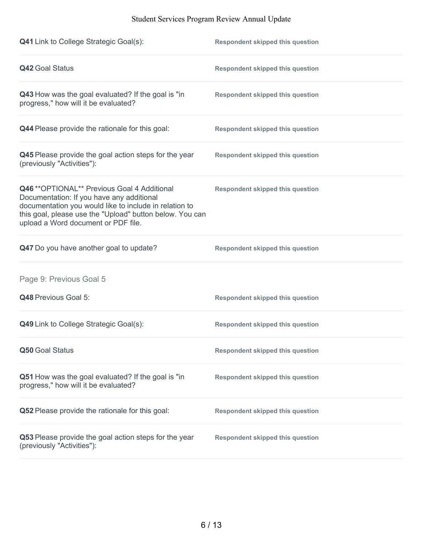| <b>Q41</b> Link to College Strategic Goal(s):                                                                                                                                                                                                          | <b>Respondent skipped this question</b> |
|--------------------------------------------------------------------------------------------------------------------------------------------------------------------------------------------------------------------------------------------------------|-----------------------------------------|
| <b>Q42 Goal Status</b>                                                                                                                                                                                                                                 | <b>Respondent skipped this question</b> |
| Q43 How was the goal evaluated? If the goal is "in<br>progress," how will it be evaluated?                                                                                                                                                             | <b>Respondent skipped this question</b> |
| Q44 Please provide the rationale for this goal:                                                                                                                                                                                                        | <b>Respondent skipped this question</b> |
| Q45 Please provide the goal action steps for the year<br>(previously "Activities"):                                                                                                                                                                    | <b>Respondent skipped this question</b> |
| Q46 ** OPTIONAL** Previous Goal 4 Additional<br>Documentation: If you have any additional<br>documentation you would like to include in relation to<br>this goal, please use the "Upload" button below. You can<br>upload a Word document or PDF file. | <b>Respondent skipped this question</b> |
| Q47 Do you have another goal to update?                                                                                                                                                                                                                | <b>Respondent skipped this question</b> |
| Page 9: Previous Goal 5                                                                                                                                                                                                                                |                                         |
| Q48 Previous Goal 5:                                                                                                                                                                                                                                   | <b>Respondent skipped this question</b> |
| Q49 Link to College Strategic Goal(s):                                                                                                                                                                                                                 | <b>Respondent skipped this question</b> |
| Q50 Goal Status                                                                                                                                                                                                                                        | <b>Respondent skipped this question</b> |
| Q51 How was the goal evaluated? If the goal is "in<br>progress," how will it be evaluated?                                                                                                                                                             | <b>Respondent skipped this question</b> |
| Q52 Please provide the rationale for this goal:                                                                                                                                                                                                        | <b>Respondent skipped this question</b> |
| Q53 Please provide the goal action steps for the year<br>(previously "Activities"):                                                                                                                                                                    | <b>Respondent skipped this question</b> |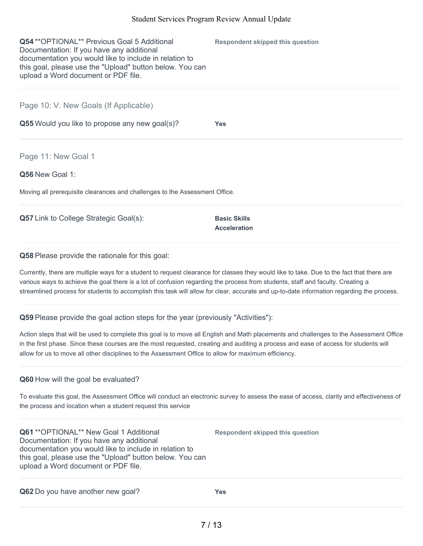| <b>Q54</b> ** OPTIONAL ** Previous Goal 5 Additional<br>Documentation: If you have any additional<br>documentation you would like to include in relation to<br>this goal, please use the "Upload" button below. You can<br>upload a Word document or PDF file. | Respondent skipped this question |
|----------------------------------------------------------------------------------------------------------------------------------------------------------------------------------------------------------------------------------------------------------------|----------------------------------|
| Page 10: V. New Goals (If Applicable)                                                                                                                                                                                                                          |                                  |
| Q55 Would you like to propose any new goal(s)?                                                                                                                                                                                                                 | <b>Yes</b>                       |
| Page 11: New Goal 1                                                                                                                                                                                                                                            |                                  |
| Q56 New Goal 1:                                                                                                                                                                                                                                                |                                  |
| Moving all prerequisite clearances and challenges to the Assessment Office.                                                                                                                                                                                    |                                  |
|                                                                                                                                                                                                                                                                |                                  |

**Q57** Link to College Strategic Goal(s): **Basic Skills** 

**Acceleration**

#### **Q58** Please provide the rationale for this goal:

Currently, there are multiple ways for a student to request clearance for classes they would like to take. Due to the fact that there are various ways to achieve the goal there is a lot of confusion regarding the process from students, staff and faculty. Creating a streamlined process for students to accomplish this task will allow for clear, accurate and up-to-date information regarding the process.

**Q59** Please provide the goal action steps for the year (previously "Activities"):

Action steps that will be used to complete this goal is to move all English and Math placements and challenges to the Assessment Office in the first phase. Since these courses are the most requested, creating and auditing a process and ease of access for students will allow for us to move all other disciplines to the Assessment Office to allow for maximum efficiency.

# **Q60** How will the goal be evaluated?

To evaluate this goal, the Assessment Office will conduct an electronic survey to assess the ease of access, clarity and effectiveness of the process and location when a student request this service

**Q61** \*\*OPTIONAL\*\* New Goal 1 Additional Documentation: If you have any additional documentation you would like to include in relation to this goal, please use the "Upload" button below. You can upload a Word document or PDF file.

**Respondent skipped this question**

**Q62** Do you have another new goal? **Yes**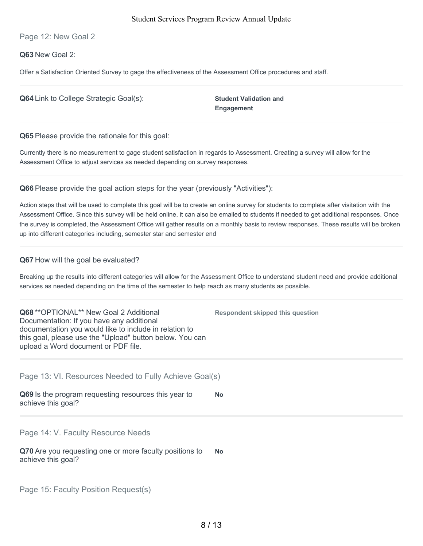Page 12: New Goal 2

**Q63** New Goal 2:

Offer a Satisfaction Oriented Survey to gage the effectiveness of the Assessment Office procedures and staff.

| <b>Q64</b> Link to College Strategic Goal(s):          | <b>Student Validation and</b><br><b>Engagement</b> |
|--------------------------------------------------------|----------------------------------------------------|
| <b>Q65</b> Please provide the rationale for this goal: |                                                    |

Currently there is no measurement to gage student satisfaction in regards to Assessment. Creating a survey will allow for the Assessment Office to adjust services as needed depending on survey responses.

**Q66** Please provide the goal action steps for the year (previously "Activities"):

Action steps that will be used to complete this goal will be to create an online survey for students to complete after visitation with the Assessment Office. Since this survey will be held online, it can also be emailed to students if needed to get additional responses. Once the survey is completed, the Assessment Office will gather results on a monthly basis to review responses. These results will be broken up into different categories including, semester star and semester end

**Q67** How will the goal be evaluated?

Breaking up the results into different categories will allow for the Assessment Office to understand student need and provide additional services as needed depending on the time of the semester to help reach as many students as possible.

| <b>Respondent skipped this question</b>                |
|--------------------------------------------------------|
| Page 13: VI. Resources Needed to Fully Achieve Goal(s) |
| <b>No</b>                                              |
|                                                        |
| No.                                                    |
|                                                        |

Page 15: Faculty Position Request(s)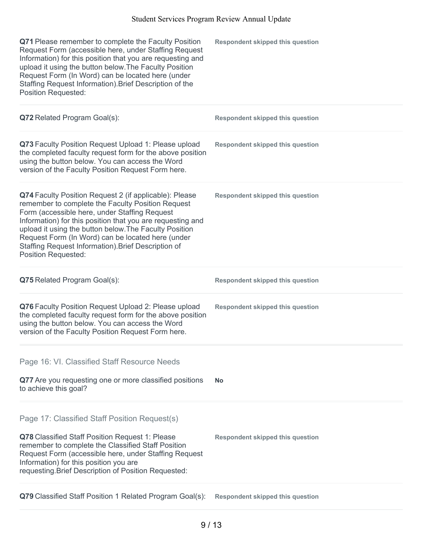| Q71 Please remember to complete the Faculty Position<br>Request Form (accessible here, under Staffing Request<br>Information) for this position that you are requesting and<br>upload it using the button below. The Faculty Position<br>Request Form (In Word) can be located here (under<br>Staffing Request Information). Brief Description of the<br><b>Position Requested:</b>                                            | <b>Respondent skipped this question</b> |
|--------------------------------------------------------------------------------------------------------------------------------------------------------------------------------------------------------------------------------------------------------------------------------------------------------------------------------------------------------------------------------------------------------------------------------|-----------------------------------------|
| Q72 Related Program Goal(s):                                                                                                                                                                                                                                                                                                                                                                                                   | <b>Respondent skipped this question</b> |
| Q73 Faculty Position Request Upload 1: Please upload<br>the completed faculty request form for the above position<br>using the button below. You can access the Word<br>version of the Faculty Position Request Form here.                                                                                                                                                                                                     | <b>Respondent skipped this question</b> |
| Q74 Faculty Position Request 2 (if applicable): Please<br>remember to complete the Faculty Position Request<br>Form (accessible here, under Staffing Request<br>Information) for this position that you are requesting and<br>upload it using the button below. The Faculty Position<br>Request Form (In Word) can be located here (under<br>Staffing Request Information). Brief Description of<br><b>Position Requested:</b> | <b>Respondent skipped this question</b> |
| Q75 Related Program Goal(s):                                                                                                                                                                                                                                                                                                                                                                                                   | <b>Respondent skipped this question</b> |
| Q76 Faculty Position Request Upload 2: Please upload<br>the completed faculty request form for the above position<br>using the button below. You can access the Word<br>version of the Faculty Position Request Form here.                                                                                                                                                                                                     | <b>Respondent skipped this question</b> |
| Page 16: VI. Classified Staff Resource Needs                                                                                                                                                                                                                                                                                                                                                                                   |                                         |
| Q77 Are you requesting one or more classified positions<br>to achieve this goal?                                                                                                                                                                                                                                                                                                                                               | <b>No</b>                               |
| Page 17: Classified Staff Position Request(s)<br>Q78 Classified Staff Position Request 1: Please<br>remember to complete the Classified Staff Position<br>Request Form (accessible here, under Staffing Request<br>Information) for this position you are<br>requesting. Brief Description of Position Requested:                                                                                                              | <b>Respondent skipped this question</b> |
| Q79 Classified Staff Position 1 Related Program Goal(s):                                                                                                                                                                                                                                                                                                                                                                       | <b>Respondent skipped this question</b> |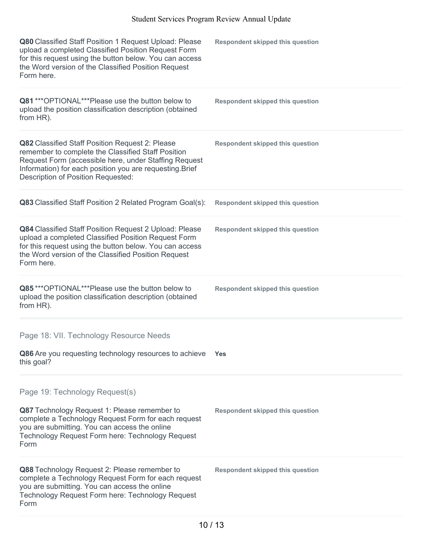| Q80 Classified Staff Position 1 Request Upload: Please<br>upload a completed Classified Position Request Form<br>for this request using the button below. You can access<br>the Word version of the Classified Position Request<br>Form here.                           | <b>Respondent skipped this question</b> |
|-------------------------------------------------------------------------------------------------------------------------------------------------------------------------------------------------------------------------------------------------------------------------|-----------------------------------------|
| Q81 *** OPTIONAL*** Please use the button below to<br>upload the position classification description (obtained<br>from HR).                                                                                                                                             | <b>Respondent skipped this question</b> |
| Q82 Classified Staff Position Request 2: Please<br>remember to complete the Classified Staff Position<br>Request Form (accessible here, under Staffing Request<br>Information) for each position you are requesting. Brief<br><b>Description of Position Requested:</b> | <b>Respondent skipped this question</b> |
| Q83 Classified Staff Position 2 Related Program Goal(s):                                                                                                                                                                                                                | <b>Respondent skipped this question</b> |
| Q84 Classified Staff Position Request 2 Upload: Please<br>upload a completed Classified Position Request Form<br>for this request using the button below. You can access<br>the Word version of the Classified Position Request<br>Form here.                           | <b>Respondent skipped this question</b> |
| Q85***OPTIONAL***Please use the button below to<br>upload the position classification description (obtained<br>from HR).                                                                                                                                                | <b>Respondent skipped this question</b> |
| Page 18: VII. Technology Resource Needs                                                                                                                                                                                                                                 |                                         |
| Q86 Are you requesting technology resources to achieve<br>this goal?                                                                                                                                                                                                    | <b>Yes</b>                              |
| Page 19: Technology Request(s)<br>Q87 Technology Request 1: Please remember to<br>complete a Technology Request Form for each request<br>you are submitting. You can access the online<br>Technology Request Form here: Technology Request<br>Form                      | <b>Respondent skipped this question</b> |
| Q88 Technology Request 2: Please remember to<br>complete a Technology Request Form for each request<br>you are submitting. You can access the online<br>Technology Request Form here: Technology Request                                                                | <b>Respondent skipped this question</b> |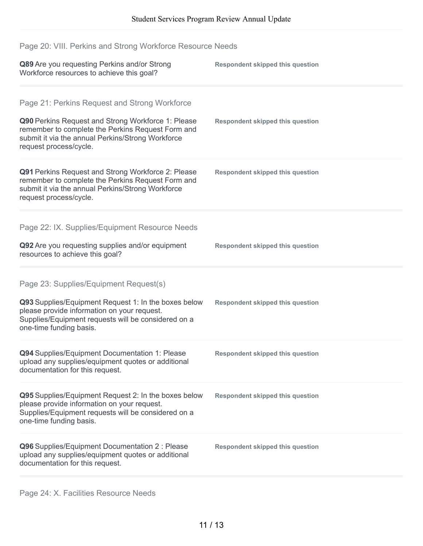# Page 20: VIII. Perkins and Strong Workforce Resource Needs

| Q89 Are you requesting Perkins and/or Strong<br>Workforce resources to achieve this goal?                                                                                                                                               | <b>Respondent skipped this question</b> |
|-----------------------------------------------------------------------------------------------------------------------------------------------------------------------------------------------------------------------------------------|-----------------------------------------|
| Page 21: Perkins Request and Strong Workforce<br>Q90 Perkins Request and Strong Workforce 1: Please<br>remember to complete the Perkins Request Form and<br>submit it via the annual Perkins/Strong Workforce<br>request process/cycle. | <b>Respondent skipped this question</b> |
| Q91 Perkins Request and Strong Workforce 2: Please<br>remember to complete the Perkins Request Form and<br>submit it via the annual Perkins/Strong Workforce<br>request process/cycle.                                                  | <b>Respondent skipped this question</b> |
| Page 22: IX. Supplies/Equipment Resource Needs<br>Q92 Are you requesting supplies and/or equipment<br>resources to achieve this goal?                                                                                                   | <b>Respondent skipped this question</b> |
| Page 23: Supplies/Equipment Request(s)<br>Q93 Supplies/Equipment Request 1: In the boxes below<br>please provide information on your request.<br>Supplies/Equipment requests will be considered on a<br>one-time funding basis.         | <b>Respondent skipped this question</b> |
| Q94 Supplies/Equipment Documentation 1: Please<br>upload any supplies/equipment quotes or additional<br>documentation for this request.                                                                                                 | <b>Respondent skipped this question</b> |
| Q95 Supplies/Equipment Request 2: In the boxes below<br>please provide information on your request.<br>Supplies/Equipment requests will be considered on a<br>one-time funding basis.                                                   | <b>Respondent skipped this question</b> |
| Q96 Supplies/Equipment Documentation 2 : Please<br>upload any supplies/equipment quotes or additional<br>documentation for this request.                                                                                                | <b>Respondent skipped this question</b> |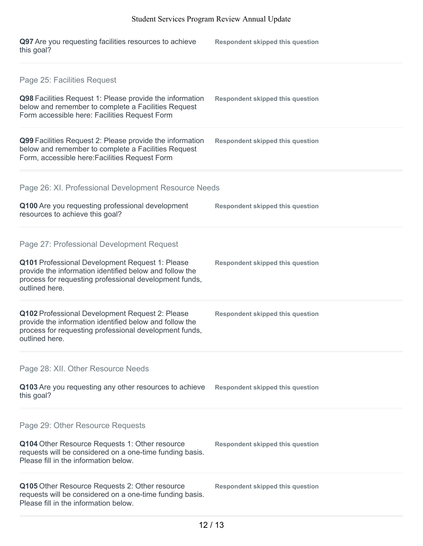| Q97 Are you requesting facilities resources to achieve<br>this goal?                                                                                                                                                                | <b>Respondent skipped this question</b> |
|-------------------------------------------------------------------------------------------------------------------------------------------------------------------------------------------------------------------------------------|-----------------------------------------|
| Page 25: Facilities Request<br>Q98 Facilities Request 1: Please provide the information<br>below and remember to complete a Facilities Request<br>Form accessible here: Facilities Request Form                                     | <b>Respondent skipped this question</b> |
| Q99 Facilities Request 2: Please provide the information<br>below and remember to complete a Facilities Request<br>Form, accessible here: Facilities Request Form                                                                   | <b>Respondent skipped this question</b> |
| Page 26: XI. Professional Development Resource Needs<br>Q100 Are you requesting professional development<br>resources to achieve this goal?                                                                                         | <b>Respondent skipped this question</b> |
| Page 27: Professional Development Request<br>Q101 Professional Development Request 1: Please<br>provide the information identified below and follow the<br>process for requesting professional development funds,<br>outlined here. | <b>Respondent skipped this question</b> |
| Q102 Professional Development Request 2: Please<br>provide the information identified below and follow the<br>process for requesting professional development funds,<br>outlined here.                                              | <b>Respondent skipped this question</b> |
| Page 28: XII. Other Resource Needs<br>Q103 Are you requesting any other resources to achieve<br>this goal?                                                                                                                          | <b>Respondent skipped this question</b> |
| Page 29: Other Resource Requests<br>Q104 Other Resource Requests 1: Other resource<br>requests will be considered on a one-time funding basis.<br>Please fill in the information below.                                             | <b>Respondent skipped this question</b> |
| Q105 Other Resource Requests 2: Other resource<br>requests will be considered on a one-time funding basis.<br>Please fill in the information below.                                                                                 | <b>Respondent skipped this question</b> |